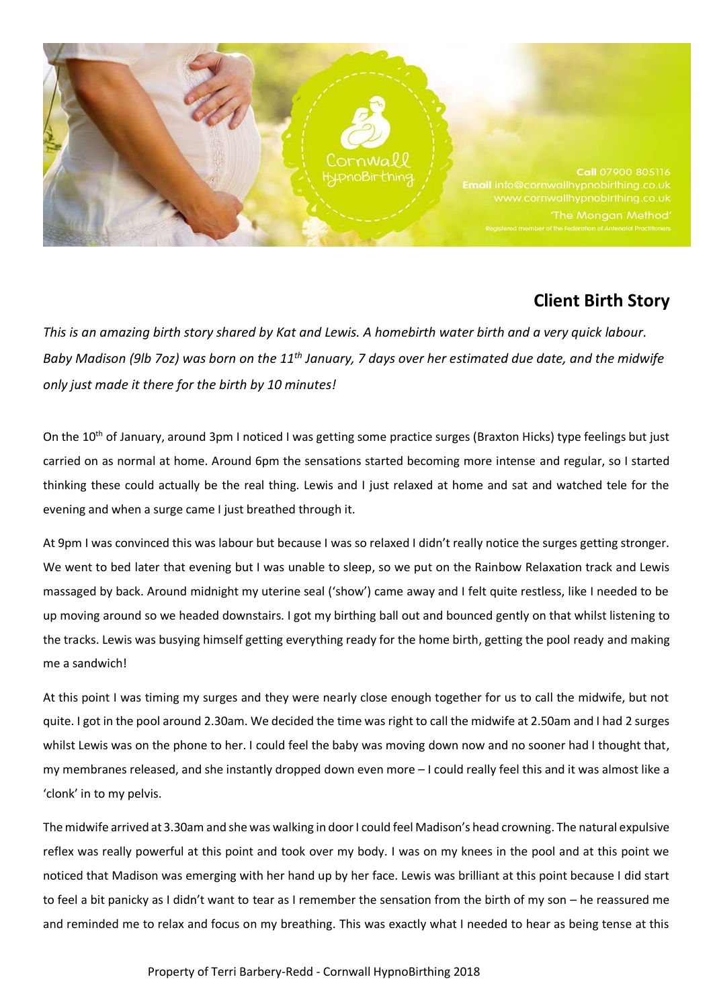

## **Client Birth Story**

*This is an amazing birth story shared by Kat and Lewis. A homebirth water birth and a very quick labour. Baby Madison (9lb 7oz) was born on the 11th January, 7 days over her estimated due date, and the midwife only just made it there for the birth by 10 minutes!*

On the 10<sup>th</sup> of January, around 3pm I noticed I was getting some practice surges (Braxton Hicks) type feelings but just carried on as normal at home. Around 6pm the sensations started becoming more intense and regular, so I started thinking these could actually be the real thing. Lewis and I just relaxed at home and sat and watched tele for the evening and when a surge came I just breathed through it.

At 9pm I was convinced this was labour but because I was so relaxed I didn't really notice the surges getting stronger. We went to bed later that evening but I was unable to sleep, so we put on the Rainbow Relaxation track and Lewis massaged by back. Around midnight my uterine seal ('show') came away and I felt quite restless, like I needed to be up moving around so we headed downstairs. I got my birthing ball out and bounced gently on that whilst listening to the tracks. Lewis was busying himself getting everything ready for the home birth, getting the pool ready and making me a sandwich!

At this point I was timing my surges and they were nearly close enough together for us to call the midwife, but not quite. I got in the pool around 2.30am. We decided the time was right to call the midwife at 2.50am and I had 2 surges whilst Lewis was on the phone to her. I could feel the baby was moving down now and no sooner had I thought that, my membranes released, and she instantly dropped down even more – I could really feel this and it was almost like a 'clonk' in to my pelvis.

The midwife arrived at 3.30am and she was walking in door I could feel Madison's head crowning. The natural expulsive reflex was really powerful at this point and took over my body. I was on my knees in the pool and at this point we noticed that Madison was emerging with her hand up by her face. Lewis was brilliant at this point because I did start to feel a bit panicky as I didn't want to tear as I remember the sensation from the birth of my son – he reassured me and reminded me to relax and focus on my breathing. This was exactly what I needed to hear as being tense at this